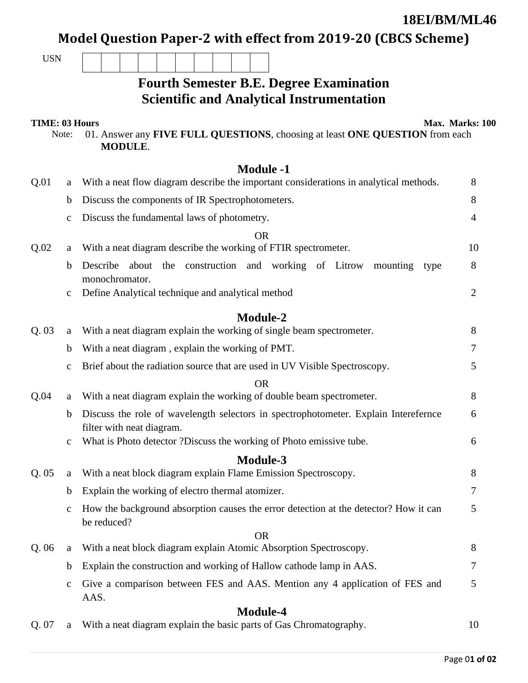**18EI/BM/ML46** 

Model Question Paper-2 with effect from 2019-20 (CBCS Scheme)

| <b>USN</b>            |             |                                                                                                                  |                 |
|-----------------------|-------------|------------------------------------------------------------------------------------------------------------------|-----------------|
|                       |             | <b>Fourth Semester B.E. Degree Examination</b>                                                                   |                 |
|                       |             | <b>Scientific and Analytical Instrumentation</b>                                                                 |                 |
| <b>TIME: 03 Hours</b> | Note:       | 01. Answer any FIVE FULL QUESTIONS, choosing at least ONE QUESTION from each<br><b>MODULE.</b>                   | Max. Marks: 100 |
|                       |             | <b>Module -1</b>                                                                                                 |                 |
| Q.01                  | a           | With a neat flow diagram describe the important considerations in analytical methods.                            | 8               |
|                       | b           | Discuss the components of IR Spectrophotometers.                                                                 | 8               |
|                       | $\mathbf c$ | Discuss the fundamental laws of photometry.                                                                      | 4               |
| Q.02                  | a           | <b>OR</b><br>With a neat diagram describe the working of FTIR spectrometer.                                      | 10              |
|                       | b           | Describe<br>construction and working of Litrow<br>about<br>the<br>mounting                                       | 8               |
|                       |             | type<br>monochromator.                                                                                           |                 |
|                       | $\mathbf c$ | Define Analytical technique and analytical method                                                                | $\overline{2}$  |
|                       |             | <b>Module-2</b>                                                                                                  |                 |
| Q.03                  | $\rm a$     | With a neat diagram explain the working of single beam spectrometer.                                             | 8               |
|                       | b           | With a neat diagram, explain the working of PMT.                                                                 | 7               |
|                       | $\mathbf c$ | Brief about the radiation source that are used in UV Visible Spectroscopy.                                       | 5               |
|                       |             | <b>OR</b>                                                                                                        |                 |
| Q.04                  | a           | With a neat diagram explain the working of double beam spectrometer.                                             | 8               |
|                       | $\mathbf b$ | Discuss the role of wavelength selectors in spectrophotometer. Explain Interefernce<br>filter with neat diagram. | 6               |
|                       | $\mathbf c$ | What is Photo detector ?Discuss the working of Photo emissive tube.                                              | 6               |
|                       |             | Module-3                                                                                                         |                 |
| Q.05                  | a           | With a neat block diagram explain Flame Emission Spectroscopy.                                                   | 8               |
|                       | $\mathbf b$ | Explain the working of electro thermal atomizer.                                                                 | 7               |
|                       | $\mathbf c$ | How the background absorption causes the error detection at the detector? How it can<br>be reduced?              | 5               |
| Q.06                  | $\rm a$     | <b>OR</b><br>With a neat block diagram explain Atomic Absorption Spectroscopy.                                   | 8               |
|                       | $\mathbf b$ | Explain the construction and working of Hallow cathode lamp in AAS.                                              | 7               |
|                       | $\mathbf c$ | Give a comparison between FES and AAS. Mention any 4 application of FES and                                      | 5               |
|                       |             | AAS.                                                                                                             |                 |
|                       |             | <b>Module-4</b>                                                                                                  |                 |
| Q. 07                 | a           | With a neat diagram explain the basic parts of Gas Chromatography.                                               | 10              |